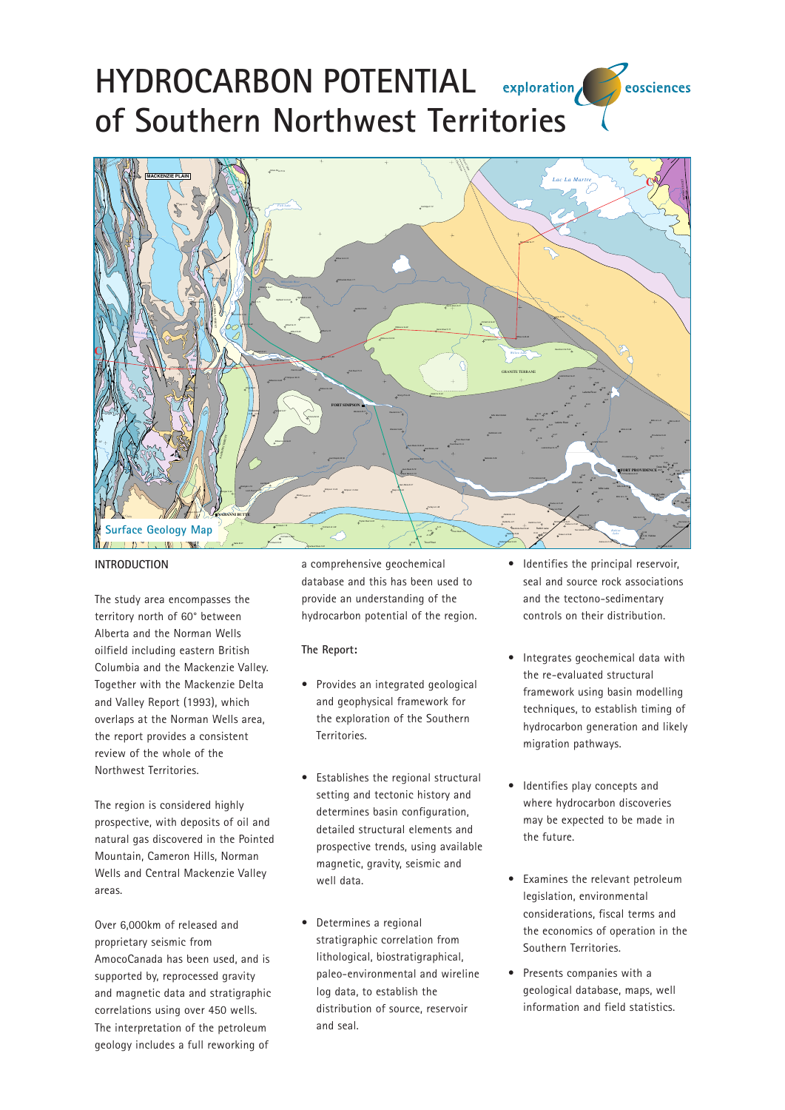## **HYDROCARBON POTENTIAL** exploration eosciences **of Southern Northwest Territories**



## **INTRODUCTION**

The study area encompasses the territory north of 60° between Alberta and the Norman Wells oilfield including eastern British Columbia and the Mackenzie Valley. Together with the Mackenzie Delta and Valley Report (1993), which overlaps at the Norman Wells area, the report provides a consistent review of the whole of the Northwest Territories.

The region is considered highly prospective, with deposits of oil and natural gas discovered in the Pointed Mountain, Cameron Hills, Norman Wells and Central Mackenzie Valley areas.

Over 6,000km of released and proprietary seismic from AmocoCanada has been used, and is supported by, reprocessed gravity and magnetic data and stratigraphic correlations using over 450 wells. The interpretation of the petroleum geology includes a full reworking of

a comprehensive geochemical database and this has been used to provide an understanding of the hydrocarbon potential of the region.

## **The Report:**

- Provides an integrated geological and geophysical framework for the exploration of the Southern Territories.
- Establishes the regional structural setting and tectonic history and determines basin configuration, detailed structural elements and prospective trends, using available magnetic, gravity, seismic and well data.
- Determines a regional stratigraphic correlation from lithological, biostratigraphical, paleo-environmental and wireline log data, to establish the distribution of source, reservoir and seal.
- Identifies the principal reservoir, seal and source rock associations and the tectono-sedimentary controls on their distribution.
- Integrates geochemical data with the re-evaluated structural framework using basin modelling techniques, to establish timing of hydrocarbon generation and likely migration pathways.
- Identifies play concepts and where hydrocarbon discoveries may be expected to be made in the future.
- Examines the relevant petroleum legislation, environmental considerations, fiscal terms and the economics of operation in the Southern Territories.
- Presents companies with a geological database, maps, well information and field statistics.